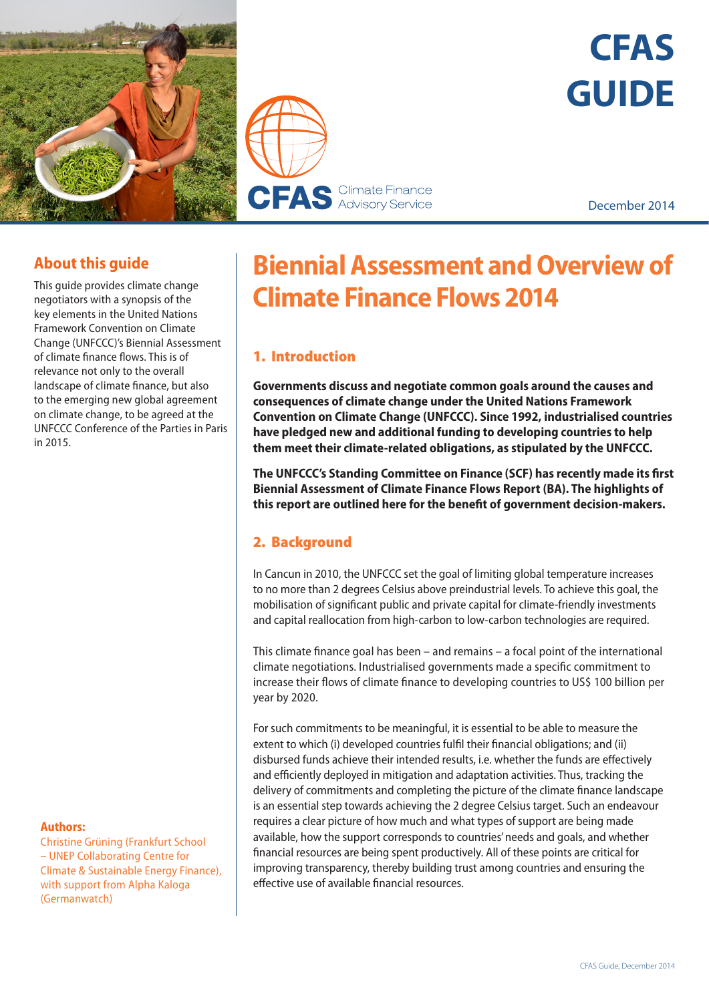



# **CFAS GUIDE**

December 2014

# **About this guide**

This guide provides climate change negotiators with a synopsis of the key elements in the United Nations Framework Convention on Climate Change (UNFCCC)'s Biennial Assessment of climate finance flows. This is of relevance not only to the overall landscape of climate finance, but also to the emerging new global agreement on climate change, to be agreed at the UNFCCC Conference of the Parties in Paris in 2015.

#### **Authors:**

Christine Grüning (Frankfurt School – UNEP Collaborating Centre for Climate & Sustainable Energy Finance), with support from Alpha Kaloga (Germanwatch)

# **Biennial Assessment and Overview of Climate Finance Flows 2014**

# 1. Introduction

**Governments discuss and negotiate common goals around the causes and consequences of climate change under the United Nations Framework Convention on Climate Change (UNFCCC). Since 1992, industrialised countries have pledged new and additional funding to developing countries to help them meet their climate-related obligations, as stipulated by the UNFCCC.** 

**The UNFCCC's Standing Committee on Finance (SCF) has recently made its first Biennial Assessment of Climate Finance Flows Report (BA). The highlights of this report are outlined here for the benefit of government decision-makers.** 

# 2. Background

In Cancun in 2010, the UNFCCC set the goal of limiting global temperature increases to no more than 2 degrees Celsius above preindustrial levels. To achieve this goal, the mobilisation of significant public and private capital for climate-friendly investments and capital reallocation from high-carbon to low-carbon technologies are required.

This climate finance goal has been – and remains – a focal point of the international climate negotiations. Industrialised governments made a specific commitment to increase their flows of climate finance to developing countries to US\$ 100 billion per year by 2020.

For such commitments to be meaningful, it is essential to be able to measure the extent to which (i) developed countries fulfil their financial obligations; and (ii) disbursed funds achieve their intended results, i.e. whether the funds are effectively and efficiently deployed in mitigation and adaptation activities. Thus, tracking the delivery of commitments and completing the picture of the climate finance landscape is an essential step towards achieving the 2 degree Celsius target. Such an endeavour requires a clear picture of how much and what types of support are being made available, how the support corresponds to countries' needs and goals, and whether financial resources are being spent productively. All of these points are critical for improving transparency, thereby building trust among countries and ensuring the effective use of available financial resources.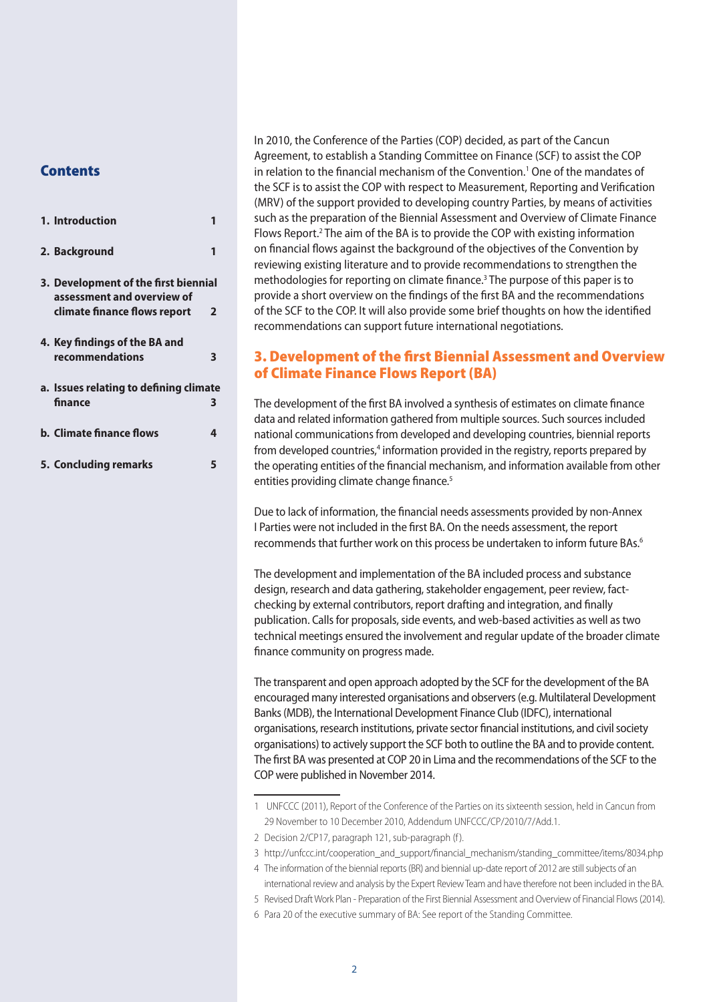#### **Contents**

| 1. Introduction                                                                                    |                |
|----------------------------------------------------------------------------------------------------|----------------|
| 2. Background                                                                                      |                |
| 3. Development of the first biennial<br>assessment and overview of<br>climate finance flows report | $\overline{2}$ |
| 4. Key findings of the BA and<br>recommendations                                                   | 3              |
| a. Issues relating to defining climate<br>finance                                                  | 3              |
| <b>b. Climate finance flows</b>                                                                    | 4              |
| 5. Concluding remarks                                                                              | 5              |

In 2010, the Conference of the Parties (COP) decided, as part of the Cancun Agreement, to establish a Standing Committee on Finance (SCF) to assist the COP in relation to the financial mechanism of the Convention.<sup>1</sup> One of the mandates of the SCF is to assist the COP with respect to Measurement, Reporting and Verification (MRV) of the support provided to developing country Parties, by means of activities such as the preparation of the Biennial Assessment and Overview of Climate Finance Flows Report.<sup>2</sup> The aim of the BA is to provide the COP with existing information on financial flows against the background of the objectives of the Convention by reviewing existing literature and to provide recommendations to strengthen the methodologies for reporting on climate finance.<sup>3</sup> The purpose of this paper is to provide a short overview on the findings of the first BA and the recommendations of the SCF to the COP. It will also provide some brief thoughts on how the identified recommendations can support future international negotiations.

# 3. Development of the first Biennial Assessment and Overview of Climate Finance Flows Report (BA)

The development of the first BA involved a synthesis of estimates on climate finance data and related information gathered from multiple sources. Such sources included national communications from developed and developing countries, biennial reports from developed countries,<sup>4</sup> information provided in the registry, reports prepared by the operating entities of the financial mechanism, and information available from other entities providing climate change finance.<sup>5</sup>

Due to lack of information, the financial needs assessments provided by non-Annex I Parties were not included in the first BA. On the needs assessment, the report recommends that further work on this process be undertaken to inform future BAs.<sup>6</sup>

The development and implementation of the BA included process and substance design, research and data gathering, stakeholder engagement, peer review, factchecking by external contributors, report drafting and integration, and finally publication. Calls for proposals, side events, and web-based activities as well as two technical meetings ensured the involvement and regular update of the broader climate finance community on progress made.

The transparent and open approach adopted by the SCF for the development of the BA encouraged many interested organisations and observers (e.g. Multilateral Development Banks (MDB), the International Development Finance Club (IDFC), international organisations, research institutions, private sector financial institutions, and civil society organisations) to actively support the SCF both to outline the BA and to provide content. The first BA was presented at COP 20 in Lima and the recommendations of the SCF to the COP were published in November 2014.

6 Para 20 of the executive summary of BA: See report of the Standing Committee.

<sup>1</sup> UNFCCC (2011), Report of the Conference of the Parties on its sixteenth session, held in Cancun from 29 November to 10 December 2010, Addendum UNFCCC/CP/2010/7/Add.1.

<sup>2</sup> Decision 2/CP17, paragraph 121, sub-paragraph (f).

<sup>3</sup> http://unfccc.int/cooperation\_and\_support/financial\_mechanism/standing\_committee/items/8034.php

<sup>4</sup> The information of the biennial reports (BR) and biennial up-date report of 2012 are still subjects of an

international review and analysis by the Expert Review Team and have therefore not been included in the BA.

<sup>5</sup> Revised Draft Work Plan - Preparation of the First Biennial Assessment and Overview of Financial Flows (2014).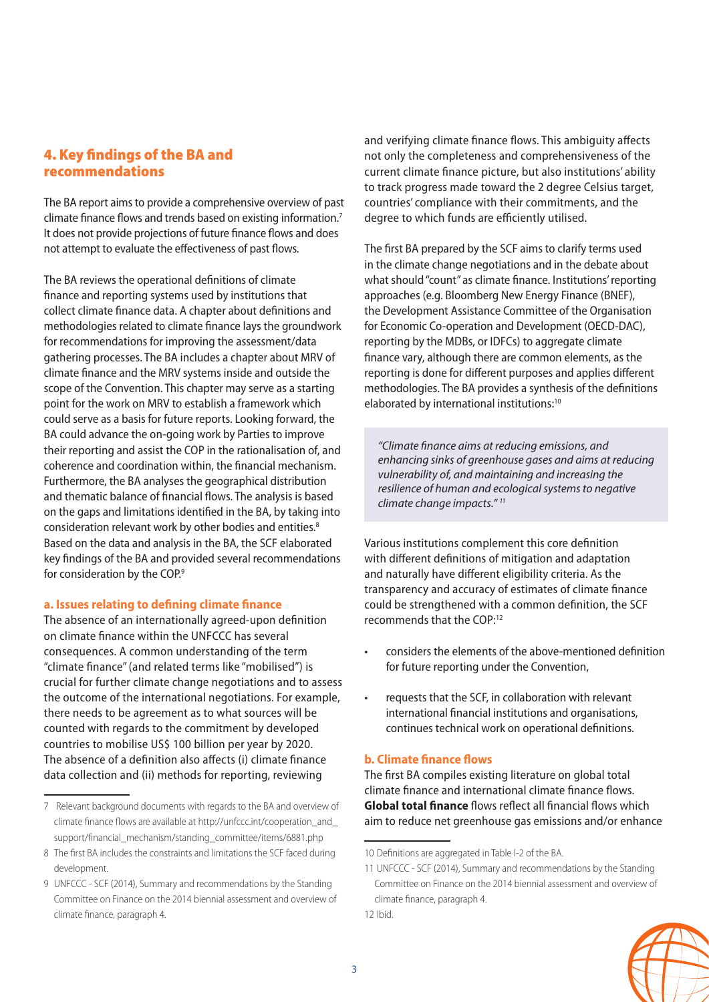## 4. Key findings of the BA and recommendations

The BA report aims to provide a comprehensive overview of past climate finance flows and trends based on existing information.7 It does not provide projections of future finance flows and does not attempt to evaluate the effectiveness of past flows.

The BA reviews the operational definitions of climate finance and reporting systems used by institutions that collect climate finance data. A chapter about definitions and methodologies related to climate finance lays the groundwork for recommendations for improving the assessment/data gathering processes. The BA includes a chapter about MRV of climate finance and the MRV systems inside and outside the scope of the Convention. This chapter may serve as a starting point for the work on MRV to establish a framework which could serve as a basis for future reports. Looking forward, the BA could advance the on-going work by Parties to improve their reporting and assist the COP in the rationalisation of, and coherence and coordination within, the financial mechanism. Furthermore, the BA analyses the geographical distribution and thematic balance of financial flows. The analysis is based on the gaps and limitations identified in the BA, by taking into consideration relevant work by other bodies and entities.<sup>8</sup> Based on the data and analysis in the BA, the SCF elaborated key findings of the BA and provided several recommendations for consideration by the COP.<sup>9</sup>

#### **a. Issues relating to defining climate finance**

The absence of an internationally agreed-upon definition on climate finance within the UNFCCC has several consequences. A common understanding of the term "climate finance" (and related terms like "mobilised") is crucial for further climate change negotiations and to assess the outcome of the international negotiations. For example, there needs to be agreement as to what sources will be counted with regards to the commitment by developed countries to mobilise US\$ 100 billion per year by 2020. The absence of a definition also affects (i) climate finance data collection and (ii) methods for reporting, reviewing

and verifying climate finance flows. This ambiguity affects not only the completeness and comprehensiveness of the current climate finance picture, but also institutions' ability to track progress made toward the 2 degree Celsius target, countries' compliance with their commitments, and the degree to which funds are efficiently utilised.

The first BA prepared by the SCF aims to clarify terms used in the climate change negotiations and in the debate about what should "count" as climate finance. Institutions' reporting approaches (e.g. Bloomberg New Energy Finance (BNEF), the Development Assistance Committee of the Organisation for Economic Co-operation and Development (OECD-DAC), reporting by the MDBs, or IDFCs) to aggregate climate finance vary, although there are common elements, as the reporting is done for different purposes and applies different methodologies. The BA provides a synthesis of the definitions elaborated by international institutions:<sup>10</sup>

*"Climate finance aims at reducing emissions, and enhancing sinks of greenhouse gases and aims at reducing vulnerability of, and maintaining and increasing the resilience of human and ecological systems to negative climate change impacts." 11*

Various institutions complement this core definition with different definitions of mitigation and adaptation and naturally have different eligibility criteria. As the transparency and accuracy of estimates of climate finance could be strengthened with a common definition, the SCF recommends that the COP:12

- considers the elements of the above-mentioned definition for future reporting under the Convention,
- requests that the SCF, in collaboration with relevant international financial institutions and organisations, continues technical work on operational definitions.

#### **b. Climate finance flows**

The first BA compiles existing literature on global total climate finance and international climate finance flows. **Global total finance** flows reflect all financial flows which aim to reduce net greenhouse gas emissions and/or enhance



<sup>7</sup> Relevant background documents with regards to the BA and overview of climate finance flows are available at [http://unfccc.int/cooperation\\_and\\_](http://unfccc.int/cooperation_and_support/financial_mechanism/standing_committee/items/6881.php) [support/financial\\_mechanism/standing\\_committee/items/6881.php](http://unfccc.int/cooperation_and_support/financial_mechanism/standing_committee/items/6881.php)

<sup>8</sup> The first BA includes the constraints and limitations the SCF faced during development.

<sup>9</sup> UNFCCC - SCF (2014), Summary and recommendations by the Standing Committee on Finance on the 2014 biennial assessment and overview of climate finance, paragraph 4.

<sup>10</sup> Definitions are aggregated in Table I-2 of the BA.

<sup>11</sup> UNFCCC - SCF (2014), Summary and recommendations by the Standing Committee on Finance on the 2014 biennial assessment and overview of climate finance, paragraph 4.

<sup>12</sup> Ibid.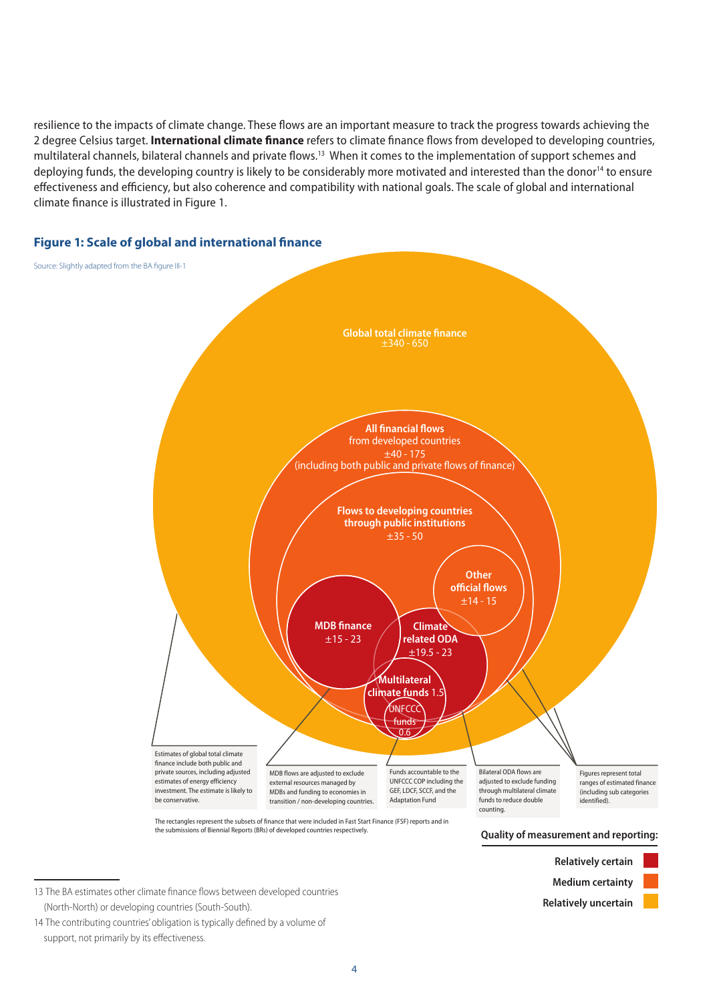resilience to the impacts of climate change. These flows are an important measure to track the progress towards achieving the 2 degree Celsius target. **International climate finance** refers to climate finance flows from developed to developing countries, multilateral channels, bilateral channels and private flows.13 When it comes to the implementation of support schemes and deploying funds, the developing country is likely to be considerably more motivated and interested than the donor<sup>14</sup> to ensure effectiveness and efficiency, but also coherence and compatibility with national goals. The scale of global and international climate finance is illustrated in Figure 1.



## **Figure 1: Scale of global and international finance**

the submissions of Biennial Reports (BRs) of developed countries respectively.

**Quality of measurement and reporting:**



14 The contributing countries' obligation is typically defined by a volume of support, not primarily by its effectiveness.

<sup>13</sup> The BA estimates other climate finance flows between developed countries (North-North) or developing countries (South-South).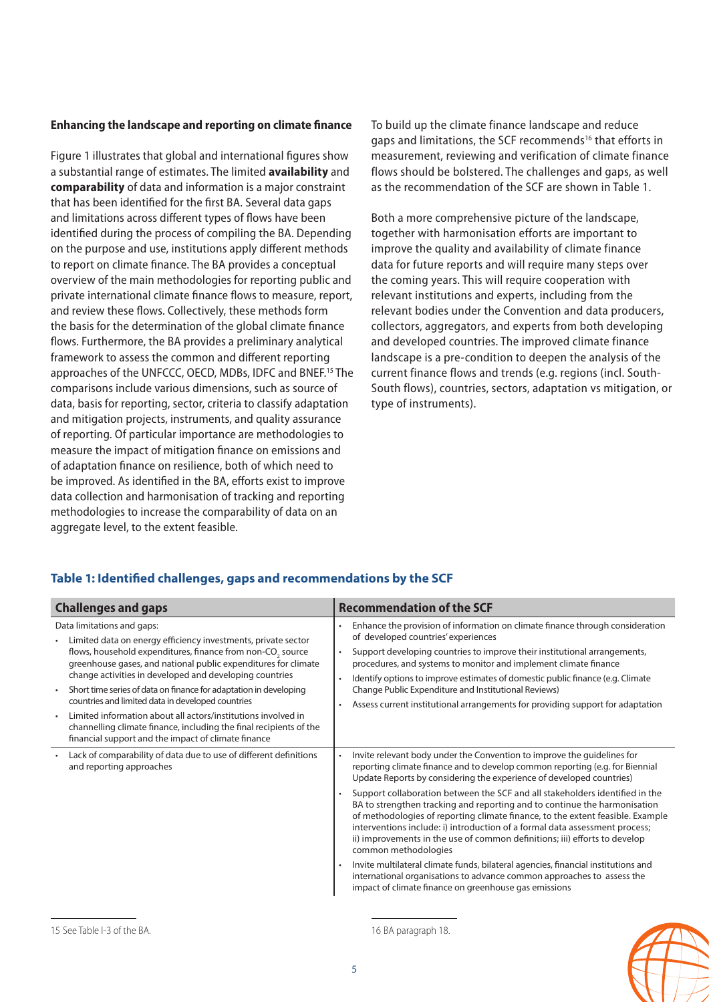#### **Enhancing the landscape and reporting on climate finance**

Figure 1 illustrates that global and international figures show a substantial range of estimates. The limited **availability** and **comparability** of data and information is a major constraint that has been identified for the first BA. Several data gaps and limitations across different types of flows have been identified during the process of compiling the BA. Depending on the purpose and use, institutions apply different methods to report on climate finance. The BA provides a conceptual overview of the main methodologies for reporting public and private international climate finance flows to measure, report, and review these flows. Collectively, these methods form the basis for the determination of the global climate finance flows. Furthermore, the BA provides a preliminary analytical framework to assess the common and different reporting approaches of the UNFCCC, OECD, MDBs, IDFC and BNEF.15 The comparisons include various dimensions, such as source of data, basis for reporting, sector, criteria to classify adaptation and mitigation projects, instruments, and quality assurance of reporting. Of particular importance are methodologies to measure the impact of mitigation finance on emissions and of adaptation finance on resilience, both of which need to be improved. As identified in the BA, efforts exist to improve data collection and harmonisation of tracking and reporting methodologies to increase the comparability of data on an aggregate level, to the extent feasible.

To build up the climate finance landscape and reduce gaps and limitations, the SCF recommends<sup>16</sup> that efforts in measurement, reviewing and verification of climate finance flows should be bolstered. The challenges and gaps, as well as the recommendation of the SCF are shown in Table 1.

Both a more comprehensive picture of the landscape, together with harmonisation efforts are important to improve the quality and availability of climate finance data for future reports and will require many steps over the coming years. This will require cooperation with relevant institutions and experts, including from the relevant bodies under the Convention and data producers, collectors, aggregators, and experts from both developing and developed countries. The improved climate finance landscape is a pre-condition to deepen the analysis of the current finance flows and trends (e.g. regions (incl. South-South flows), countries, sectors, adaptation vs mitigation, or type of instruments).

#### **Table 1: Identified challenges, gaps and recommendations by the SCF**

| <b>Challenges and gaps</b>                                                                                                                                                                                                                                                                                                                                                                                                                                                                                                                                                                                                              | <b>Recommendation of the SCF</b>                                                                                                                                                                                                                                                                                                                                                                                                                                                                                                                                                                                                                                                                                                                                                                                                                                                                                                   |
|-----------------------------------------------------------------------------------------------------------------------------------------------------------------------------------------------------------------------------------------------------------------------------------------------------------------------------------------------------------------------------------------------------------------------------------------------------------------------------------------------------------------------------------------------------------------------------------------------------------------------------------------|------------------------------------------------------------------------------------------------------------------------------------------------------------------------------------------------------------------------------------------------------------------------------------------------------------------------------------------------------------------------------------------------------------------------------------------------------------------------------------------------------------------------------------------------------------------------------------------------------------------------------------------------------------------------------------------------------------------------------------------------------------------------------------------------------------------------------------------------------------------------------------------------------------------------------------|
| Data limitations and gaps:<br>Limited data on energy efficiency investments, private sector<br>flows, household expenditures, finance from non-CO <sub>2</sub> source<br>greenhouse gases, and national public expenditures for climate<br>change activities in developed and developing countries<br>Short time series of data on finance for adaptation in developing<br>$\bullet$<br>countries and limited data in developed countries<br>Limited information about all actors/institutions involved in<br>channelling climate finance, including the final recipients of the<br>financial support and the impact of climate finance | Enhance the provision of information on climate finance through consideration<br>٠<br>of developed countries' experiences<br>Support developing countries to improve their institutional arrangements,<br>$\bullet$<br>procedures, and systems to monitor and implement climate finance<br>Identify options to improve estimates of domestic public finance (e.g. Climate<br>$\bullet$<br>Change Public Expenditure and Institutional Reviews)<br>Assess current institutional arrangements for providing support for adaptation<br>٠                                                                                                                                                                                                                                                                                                                                                                                              |
| Lack of comparability of data due to use of different definitions<br>and reporting approaches                                                                                                                                                                                                                                                                                                                                                                                                                                                                                                                                           | Invite relevant body under the Convention to improve the quidelines for<br>$\bullet$<br>reporting climate finance and to develop common reporting (e.g. for Biennial<br>Update Reports by considering the experience of developed countries)<br>Support collaboration between the SCF and all stakeholders identified in the<br>$\bullet$<br>BA to strengthen tracking and reporting and to continue the harmonisation<br>of methodologies of reporting climate finance, to the extent feasible. Example<br>interventions include: i) introduction of a formal data assessment process;<br>ii) improvements in the use of common definitions; iii) efforts to develop<br>common methodologies<br>Invite multilateral climate funds, bilateral agencies, financial institutions and<br>$\bullet$<br>international organisations to advance common approaches to assess the<br>impact of climate finance on greenhouse gas emissions |

<sup>15</sup> See Table I-3 of the BA.

16 BA paragraph 18.